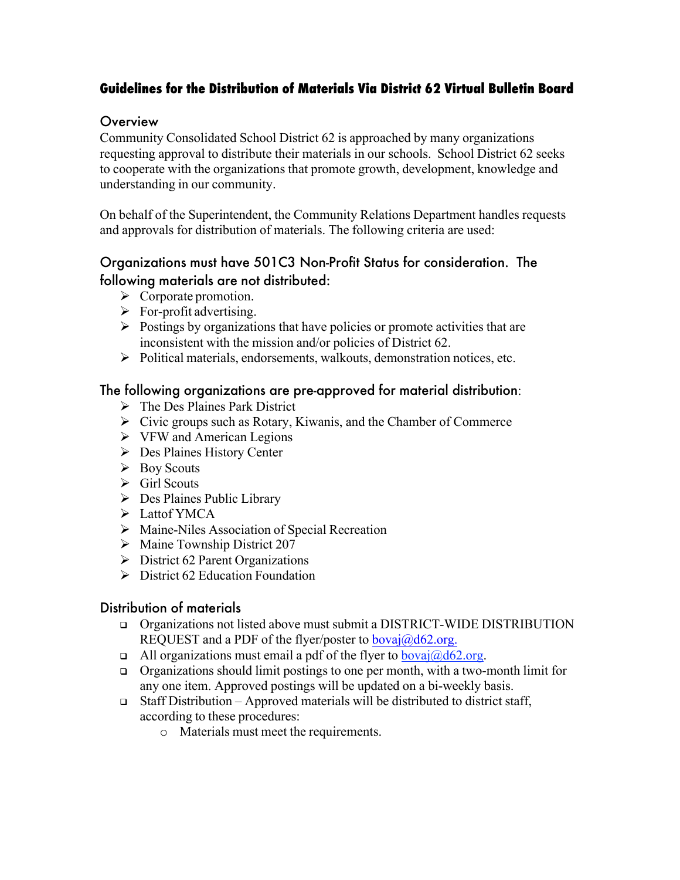# **Guidelines for the Distribution of Materials Via District 62 Virtual Bulletin Board**

### **Overview**

Community Consolidated School District 62 is approached by many organizations requesting approval to distribute their materials in our schools. School District 62 seeks to cooperate with the organizations that promote growth, development, knowledge and understanding in our community.

On behalf of the Superintendent, the Community Relations Department handles requests and approvals for distribution of materials. The following criteria are used:

## Organizations must have 501C3 Non-Profit Status for consideration. The following materials are not distributed:

- $\triangleright$  Corporate promotion.
- $\triangleright$  For-profit advertising.
- $\triangleright$  Postings by organizations that have policies or promote activities that are inconsistent with the mission and/or policies of District 62.
- Ø Political materials, endorsements, walkouts, demonstration notices, etc.

### The following organizations are pre-approved for material distribution:

- $\triangleright$  The Des Plaines Park District
- $\triangleright$  Civic groups such as Rotary, Kiwanis, and the Chamber of Commerce
- $\triangleright$  VFW and American Legions
- Ø Des Plaines History Center
- $\triangleright$  Boy Scouts
- $\triangleright$  Girl Scouts
- $\triangleright$  Des Plaines Public Library
- $\triangleright$  Lattof YMCA
- $\triangleright$  Maine-Niles Association of Special Recreation
- $\triangleright$  Maine Township District 207
- $\triangleright$  District 62 Parent Organizations
- $\triangleright$  District 62 Education Foundation

#### Distribution of materials

- <sup>q</sup> Organizations not listed above must submit a DISTRICT-WIDE DISTRIBUTION REQUEST and a PDF of the flyer/poster to  $bova@d62.org$ .
- a All organizations must email a pdf of the flyer to  $bovai@d62.org$ .
- <sup>q</sup> Organizations should limit postings to one per month, with a two-month limit for any one item. Approved postings will be updated on a bi-weekly basis.
- $\Box$  Staff Distribution Approved materials will be distributed to district staff, according to these procedures:
	- o Materials must meet the requirements.